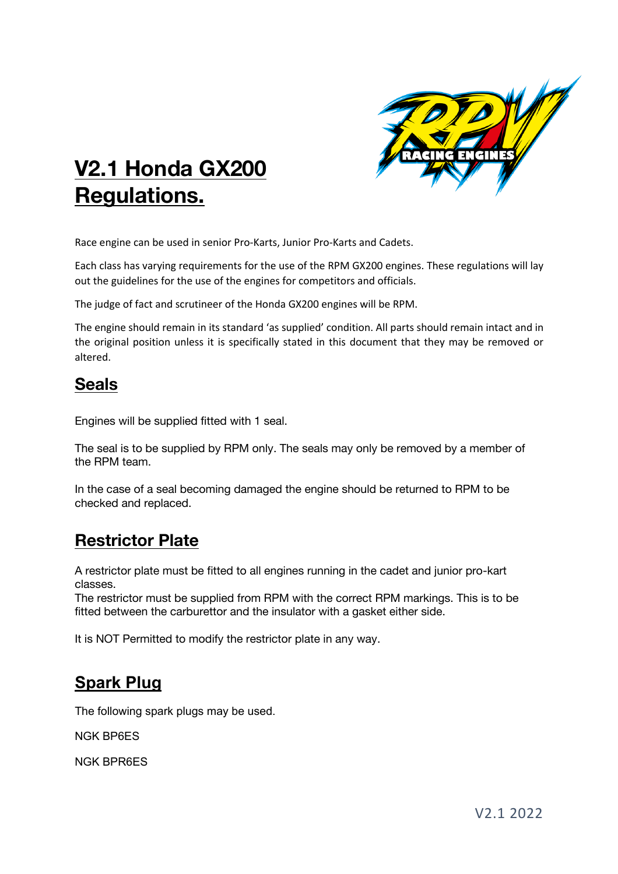

# **V2.1 Honda GX200 Regulations.**

Race engine can be used in senior Pro-Karts, Junior Pro-Karts and Cadets.

Each class has varying requirements for the use of the RPM GX200 engines. These regulations will lay out the guidelines for the use of the engines for competitors and officials.

The judge of fact and scrutineer of the Honda GX200 engines will be RPM.

The engine should remain in its standard 'as supplied' condition. All parts should remain intact and in the original position unless it is specifically stated in this document that they may be removed or altered.

### **Seals**

Engines will be supplied fitted with 1 seal.

The seal is to be supplied by RPM only. The seals may only be removed by a member of the RPM team.

In the case of a seal becoming damaged the engine should be returned to RPM to be checked and replaced.

# **Restrictor Plate**

A restrictor plate must be fitted to all engines running in the cadet and junior pro-kart classes.

The restrictor must be supplied from RPM with the correct RPM markings. This is to be fitted between the carburettor and the insulator with a gasket either side.

It is NOT Permitted to modify the restrictor plate in any way.

# **Spark Plug**

The following spark plugs may be used.

NGK BP6ES

NGK BPR6ES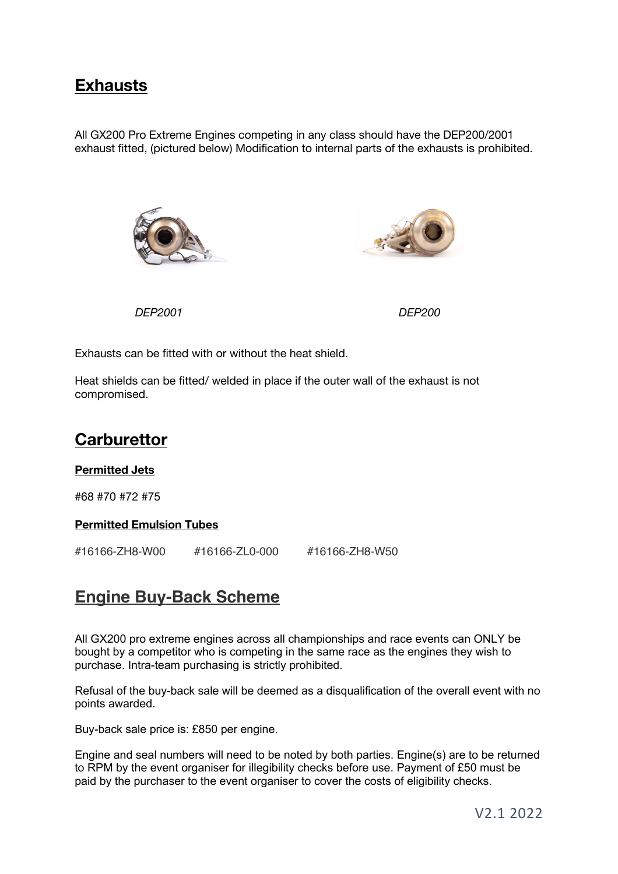### **Exhausts**

All GX200 Pro Extreme Engines competing in any class should have the DEP200/2001 exhaust fitted, (pictured below) Modification to internal parts of the exhausts is prohibited.





*DEP2001 DEP200*

Exhausts can be fitted with or without the heat shield.

Heat shields can be fitted/ welded in place if the outer wall of the exhaust is not compromised.

### **Carburettor**

#### **Permitted Jets**

#68 #70 #72 #75

#### **Permitted Emulsion Tubes**

#16166-ZH8-W00 #16166-ZL0-000 #16166-ZH8-W50

# **Engine Buy-Back Scheme**

All GX200 pro extreme engines across all championships and race events can ONLY be bought by a competitor who is competing in the same race as the engines they wish to purchase. Intra-team purchasing is strictly prohibited.

Refusal of the buy-back sale will be deemed as a disqualification of the overall event with no points awarded.

Buy-back sale price is: £850 per engine.

Engine and seal numbers will need to be noted by both parties. Engine(s) are to be returned to RPM by the event organiser for illegibility checks before use. Payment of £50 must be paid by the purchaser to the event organiser to cover the costs of eligibility checks.